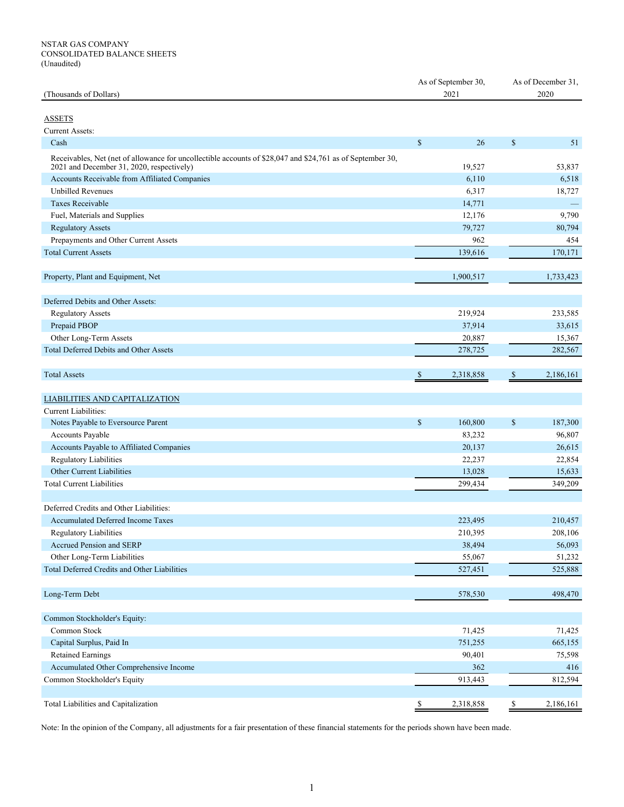# NSTAR GAS COMPANY CONSOLIDATED BALANCE SHEETS (Unaudited)

| (Thousands of Dollars)                                                                                                                                  |              | As of September 30,<br>2021 | As of December 31,<br>2020 |           |  |  |
|---------------------------------------------------------------------------------------------------------------------------------------------------------|--------------|-----------------------------|----------------------------|-----------|--|--|
|                                                                                                                                                         |              |                             |                            |           |  |  |
| <b>ASSETS</b>                                                                                                                                           |              |                             |                            |           |  |  |
| <b>Current Assets:</b>                                                                                                                                  |              |                             |                            |           |  |  |
| Cash                                                                                                                                                    | $\mathbb{S}$ | 26                          | \$                         | 51        |  |  |
|                                                                                                                                                         |              |                             |                            |           |  |  |
| Receivables, Net (net of allowance for uncollectible accounts of \$28,047 and \$24,761 as of September 30,<br>2021 and December 31, 2020, respectively) |              | 19,527                      |                            | 53,837    |  |  |
| Accounts Receivable from Affiliated Companies                                                                                                           |              | 6,110                       |                            | 6,518     |  |  |
| <b>Unbilled Revenues</b>                                                                                                                                |              | 6,317                       |                            | 18,727    |  |  |
| <b>Taxes Receivable</b>                                                                                                                                 |              | 14,771                      |                            |           |  |  |
| Fuel, Materials and Supplies                                                                                                                            |              | 12,176                      |                            | 9,790     |  |  |
| <b>Regulatory Assets</b>                                                                                                                                |              | 79,727                      |                            | 80,794    |  |  |
| Prepayments and Other Current Assets                                                                                                                    |              | 962                         |                            | 454       |  |  |
| <b>Total Current Assets</b>                                                                                                                             |              | 139,616                     |                            | 170,171   |  |  |
|                                                                                                                                                         |              |                             |                            |           |  |  |
| Property, Plant and Equipment, Net                                                                                                                      |              | 1,900,517                   |                            | 1,733,423 |  |  |
|                                                                                                                                                         |              |                             |                            |           |  |  |
| Deferred Debits and Other Assets:                                                                                                                       |              |                             |                            |           |  |  |
| <b>Regulatory Assets</b>                                                                                                                                |              | 219,924                     |                            | 233,585   |  |  |
| Prepaid PBOP                                                                                                                                            |              | 37,914                      |                            | 33,615    |  |  |
| Other Long-Term Assets                                                                                                                                  |              | 20,887                      |                            | 15,367    |  |  |
| Total Deferred Debits and Other Assets                                                                                                                  |              | 278,725                     |                            | 282,567   |  |  |
|                                                                                                                                                         |              |                             |                            |           |  |  |
| <b>Total Assets</b>                                                                                                                                     | <sup>3</sup> | 2,318,858                   | <sup>\$</sup>              | 2,186,161 |  |  |
| <b>LIABILITIES AND CAPITALIZATION</b>                                                                                                                   |              |                             |                            |           |  |  |
| Current Liabilities:                                                                                                                                    |              |                             |                            |           |  |  |
| Notes Payable to Eversource Parent                                                                                                                      | $\mathbb{S}$ | 160,800                     | $\mathbb{S}$               | 187,300   |  |  |
| Accounts Payable                                                                                                                                        |              | 83,232                      |                            | 96,807    |  |  |
| Accounts Payable to Affiliated Companies                                                                                                                |              | 20,137                      |                            | 26,615    |  |  |
| Regulatory Liabilities                                                                                                                                  |              | 22,237                      |                            | 22,854    |  |  |
| Other Current Liabilities                                                                                                                               |              | 13,028                      |                            | 15,633    |  |  |
| <b>Total Current Liabilities</b>                                                                                                                        |              | 299,434                     |                            | 349,209   |  |  |
|                                                                                                                                                         |              |                             |                            |           |  |  |
| Deferred Credits and Other Liabilities:                                                                                                                 |              |                             |                            |           |  |  |
| <b>Accumulated Deferred Income Taxes</b>                                                                                                                |              | 223,495                     |                            | 210,457   |  |  |
| <b>Regulatory Liabilities</b>                                                                                                                           |              | 210,395                     |                            | 208,106   |  |  |
| Accrued Pension and SERP                                                                                                                                |              | 38,494                      |                            | 56,093    |  |  |
| Other Long-Term Liabilities                                                                                                                             |              | 55,067                      |                            | 51,232    |  |  |
| Total Deferred Credits and Other Liabilities                                                                                                            |              | 527,451                     |                            | 525,888   |  |  |
| Long-Term Debt                                                                                                                                          |              | 578,530                     |                            | 498,470   |  |  |
| Common Stockholder's Equity:                                                                                                                            |              |                             |                            |           |  |  |
| Common Stock                                                                                                                                            |              | 71,425                      |                            | 71,425    |  |  |
| Capital Surplus, Paid In                                                                                                                                |              | 751,255                     |                            | 665,155   |  |  |
| <b>Retained Earnings</b>                                                                                                                                |              | 90,401                      |                            | 75,598    |  |  |
| Accumulated Other Comprehensive Income                                                                                                                  |              | 362                         |                            | 416       |  |  |
| Common Stockholder's Equity                                                                                                                             |              | 913,443                     |                            | 812,594   |  |  |
|                                                                                                                                                         |              |                             |                            |           |  |  |
| Total Liabilities and Capitalization                                                                                                                    | \$           | 2,318,858                   | \$                         | 2,186,161 |  |  |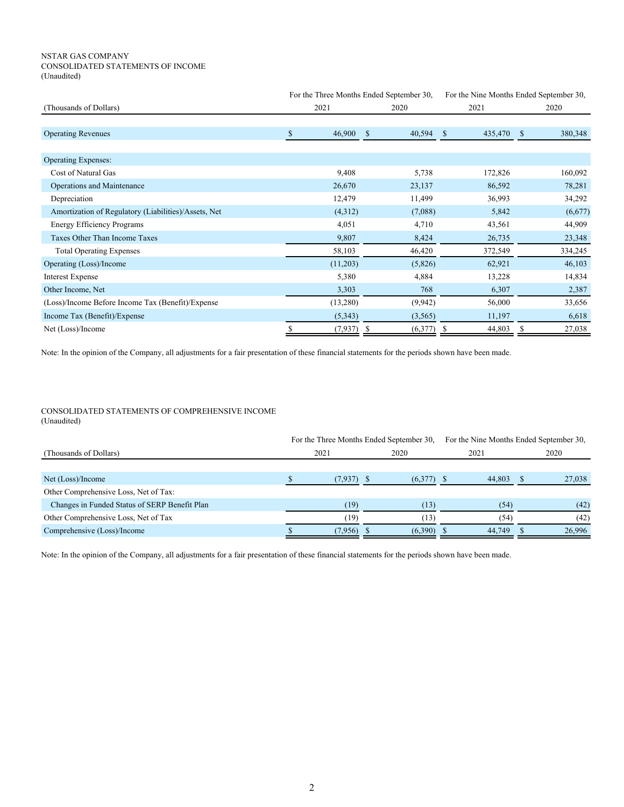#### NSTAR GAS COMPANY CONSOLIDATED STATEMENTS OF INCOME (Unaudited)

|                                                      |              | For the Three Months Ended September 30, |                         | For the Nine Months Ended September 30, |  |  |
|------------------------------------------------------|--------------|------------------------------------------|-------------------------|-----------------------------------------|--|--|
| (Thousands of Dollars)                               | 2021         | 2020                                     | 2021                    | 2020                                    |  |  |
|                                                      |              |                                          |                         |                                         |  |  |
| <b>Operating Revenues</b>                            | 46,900<br>\$ | 40,594<br><sup>\$</sup>                  | 435,470<br><sup>S</sup> | 380,348<br><sup>S</sup>                 |  |  |
|                                                      |              |                                          |                         |                                         |  |  |
| <b>Operating Expenses:</b>                           |              |                                          |                         |                                         |  |  |
| Cost of Natural Gas                                  | 9,408        | 5,738                                    | 172,826                 | 160,092                                 |  |  |
| Operations and Maintenance                           | 26,670       | 23,137                                   | 86,592                  | 78,281                                  |  |  |
| Depreciation                                         | 12,479       | 11,499                                   | 36,993                  | 34,292                                  |  |  |
| Amortization of Regulatory (Liabilities)/Assets, Net | (4,312)      | (7,088)                                  | 5,842                   | (6,677)                                 |  |  |
| Energy Efficiency Programs                           | 4,051        | 4,710                                    | 43,561                  | 44,909                                  |  |  |
| Taxes Other Than Income Taxes                        | 9,807        | 8,424                                    | 26,735                  | 23,348                                  |  |  |
| <b>Total Operating Expenses</b>                      | 58,103       | 46,420                                   | 372,549                 | 334,245                                 |  |  |
| Operating (Loss)/Income                              | (11,203)     | (5,826)                                  | 62,921                  | 46,103                                  |  |  |
| <b>Interest Expense</b>                              | 5,380        | 4,884                                    | 13,228                  | 14,834                                  |  |  |
| Other Income, Net                                    | 3,303        | 768                                      | 6,307                   | 2,387                                   |  |  |
| (Loss)/Income Before Income Tax (Benefit)/Expense    | (13,280)     | (9, 942)                                 | 56,000                  | 33,656                                  |  |  |
| Income Tax (Benefit)/Expense                         | (5,343)      | (3,565)                                  | 11,197                  | 6,618                                   |  |  |
| Net (Loss)/Income                                    | (7,937)      | (6,377)                                  | 44,803                  | 27,038<br>S                             |  |  |

Note: In the opinion of the Company, all adjustments for a fair presentation of these financial statements for the periods shown have been made.

### CONSOLIDATED STATEMENTS OF COMPREHENSIVE INCOME (Unaudited)

|                                               |         | For the Three Months Ended September 30, |        | For the Nine Months Ended September 30, |
|-----------------------------------------------|---------|------------------------------------------|--------|-----------------------------------------|
| (Thousands of Dollars)                        | 2021    | 2020                                     | 2021   | 2020                                    |
|                                               |         |                                          |        |                                         |
| Net (Loss)/Income                             | (7,937) | $(6,377)$ \$                             | 44.803 | 27,038                                  |
| Other Comprehensive Loss, Net of Tax:         |         |                                          |        |                                         |
| Changes in Funded Status of SERP Benefit Plan | (19)    | (13)                                     | (54)   | (42)                                    |
| Other Comprehensive Loss, Net of Tax          | (19)    | (13)                                     | (54)   | (42)                                    |
| Comprehensive (Loss)/Income                   | (7,956) | (6,390)                                  | 44,749 | 26,996                                  |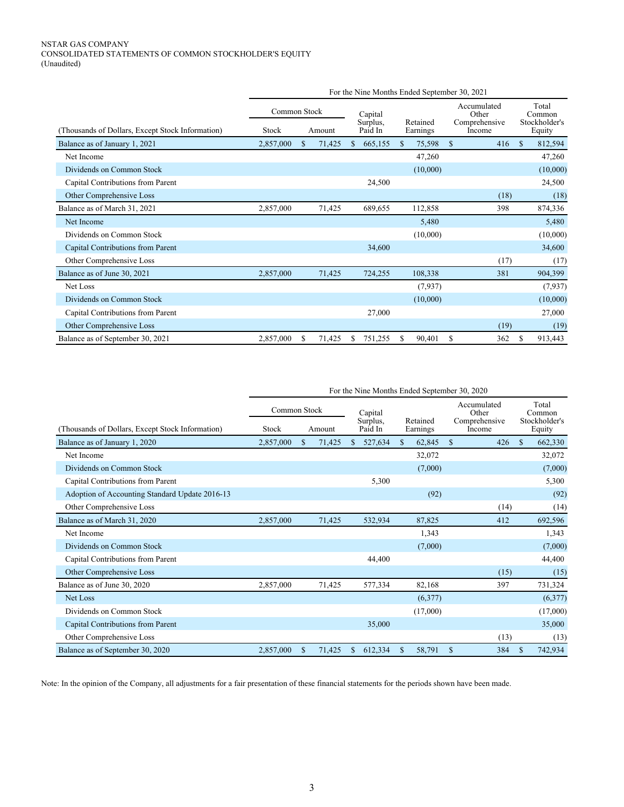# NSTAR GAS COMPANY CONSOLIDATED STATEMENTS OF COMMON STOCKHOLDER'S EQUITY (Unaudited)

|                                                  | For the Nine Months Ended September 30, 2021 |               |        |    |                     |               |                      |             |                         |                         |                 |
|--------------------------------------------------|----------------------------------------------|---------------|--------|----|---------------------|---------------|----------------------|-------------|-------------------------|-------------------------|-----------------|
|                                                  | Common Stock                                 |               |        |    | Capital             |               |                      |             | Accumulated<br>Other    |                         | Total<br>Common |
| (Thousands of Dollars, Except Stock Information) | Stock                                        |               | Amount |    | Surplus.<br>Paid In |               | Retained<br>Earnings |             | Comprehensive<br>Income | Stockholder's<br>Equity |                 |
| Balance as of January 1, 2021                    | 2,857,000                                    | <sup>\$</sup> | 71,425 | \$ | 665,155             | <sup>\$</sup> | 75,598               | $\mathbf S$ | 416                     | $\mathbf S$             | 812,594         |
| Net Income                                       |                                              |               |        |    |                     |               | 47,260               |             |                         |                         | 47,260          |
| Dividends on Common Stock                        |                                              |               |        |    |                     |               | (10,000)             |             |                         |                         | (10,000)        |
| Capital Contributions from Parent                |                                              |               |        |    | 24,500              |               |                      |             |                         |                         | 24,500          |
| Other Comprehensive Loss                         |                                              |               |        |    |                     |               |                      |             | (18)                    |                         | (18)            |
| Balance as of March 31, 2021                     | 2,857,000                                    |               | 71,425 |    | 689,655             |               | 112,858              |             | 398                     |                         | 874,336         |
| Net Income                                       |                                              |               |        |    |                     |               | 5,480                |             |                         |                         | 5,480           |
| Dividends on Common Stock                        |                                              |               |        |    |                     |               | (10,000)             |             |                         |                         | (10,000)        |
| Capital Contributions from Parent                |                                              |               |        |    | 34,600              |               |                      |             |                         |                         | 34,600          |
| Other Comprehensive Loss                         |                                              |               |        |    |                     |               |                      |             | (17)                    |                         | (17)            |
| Balance as of June 30, 2021                      | 2,857,000                                    |               | 71,425 |    | 724,255             |               | 108,338              |             | 381                     |                         | 904,399         |
| Net Loss                                         |                                              |               |        |    |                     |               | (7,937)              |             |                         |                         | (7,937)         |
| Dividends on Common Stock                        |                                              |               |        |    |                     |               | (10,000)             |             |                         |                         | (10,000)        |
| Capital Contributions from Parent                |                                              |               |        |    | 27,000              |               |                      |             |                         |                         | 27,000          |
| Other Comprehensive Loss                         |                                              |               |        |    |                     |               |                      |             | (19)                    |                         | (19)            |
| Balance as of September 30, 2021                 | 2,857,000                                    | S             | 71,425 | S  | 751,255             | \$.           | 90,401               | S           | 362                     | \$                      | 913,443         |

|                                                  | For the Nine Months Ended September 30, 2020 |               |                     |             |         |              |          |               |        |               |          |  |  |  |  |  |  |  |  |  |  |  |          |  |  |  |                                       |  |                                  |
|--------------------------------------------------|----------------------------------------------|---------------|---------------------|-------------|---------|--------------|----------|---------------|--------|---------------|----------|--|--|--|--|--|--|--|--|--|--|--|----------|--|--|--|---------------------------------------|--|----------------------------------|
|                                                  | Common Stock                                 |               | Capital<br>Surplus. |             |         |              |          |               |        |               |          |  |  |  |  |  |  |  |  |  |  |  | Retained |  |  |  | Accumulated<br>Other<br>Comprehensive |  | Total<br>Common<br>Stockholder's |
| (Thousands of Dollars, Except Stock Information) | Stock                                        |               | Amount              |             | Paid In | Earnings     |          |               | Income |               | Equity   |  |  |  |  |  |  |  |  |  |  |  |          |  |  |  |                                       |  |                                  |
| Balance as of January 1, 2020                    | 2,857,000                                    | <sup>\$</sup> | 71,425              | \$          | 527,634 | <sup>S</sup> | 62,845   | <sup>\$</sup> | 426    | <sup>\$</sup> | 662,330  |  |  |  |  |  |  |  |  |  |  |  |          |  |  |  |                                       |  |                                  |
| Net Income                                       |                                              |               |                     |             |         |              | 32,072   |               |        |               | 32,072   |  |  |  |  |  |  |  |  |  |  |  |          |  |  |  |                                       |  |                                  |
| Dividends on Common Stock                        |                                              |               |                     |             |         |              | (7,000)  |               |        |               | (7,000)  |  |  |  |  |  |  |  |  |  |  |  |          |  |  |  |                                       |  |                                  |
| Capital Contributions from Parent                |                                              |               |                     |             | 5,300   |              |          |               |        |               | 5,300    |  |  |  |  |  |  |  |  |  |  |  |          |  |  |  |                                       |  |                                  |
| Adoption of Accounting Standard Update 2016-13   |                                              |               |                     |             |         |              | (92)     |               |        |               | (92)     |  |  |  |  |  |  |  |  |  |  |  |          |  |  |  |                                       |  |                                  |
| Other Comprehensive Loss                         |                                              |               |                     |             |         |              |          |               | (14)   |               | (14)     |  |  |  |  |  |  |  |  |  |  |  |          |  |  |  |                                       |  |                                  |
| Balance as of March 31, 2020                     | 2,857,000                                    |               | 71,425              |             | 532,934 |              | 87,825   |               | 412    |               | 692,596  |  |  |  |  |  |  |  |  |  |  |  |          |  |  |  |                                       |  |                                  |
| Net Income                                       |                                              |               |                     |             |         |              | 1,343    |               |        |               | 1,343    |  |  |  |  |  |  |  |  |  |  |  |          |  |  |  |                                       |  |                                  |
| Dividends on Common Stock                        |                                              |               |                     |             |         |              | (7,000)  |               |        |               | (7,000)  |  |  |  |  |  |  |  |  |  |  |  |          |  |  |  |                                       |  |                                  |
| Capital Contributions from Parent                |                                              |               |                     |             | 44,400  |              |          |               |        |               | 44,400   |  |  |  |  |  |  |  |  |  |  |  |          |  |  |  |                                       |  |                                  |
| Other Comprehensive Loss                         |                                              |               |                     |             |         |              |          |               | (15)   |               | (15)     |  |  |  |  |  |  |  |  |  |  |  |          |  |  |  |                                       |  |                                  |
| Balance as of June 30, 2020                      | 2,857,000                                    |               | 71,425              |             | 577,334 |              | 82,168   |               | 397    |               | 731,324  |  |  |  |  |  |  |  |  |  |  |  |          |  |  |  |                                       |  |                                  |
| Net Loss                                         |                                              |               |                     |             |         |              | (6,377)  |               |        |               | (6,377)  |  |  |  |  |  |  |  |  |  |  |  |          |  |  |  |                                       |  |                                  |
| Dividends on Common Stock                        |                                              |               |                     |             |         |              | (17,000) |               |        |               | (17,000) |  |  |  |  |  |  |  |  |  |  |  |          |  |  |  |                                       |  |                                  |
| Capital Contributions from Parent                |                                              |               |                     |             | 35,000  |              |          |               |        |               | 35,000   |  |  |  |  |  |  |  |  |  |  |  |          |  |  |  |                                       |  |                                  |
| Other Comprehensive Loss                         |                                              |               |                     |             |         |              |          |               | (13)   |               | (13)     |  |  |  |  |  |  |  |  |  |  |  |          |  |  |  |                                       |  |                                  |
| Balance as of September 30, 2020                 | 2,857,000                                    | \$            | 71,425              | $\mathbf S$ | 612,334 | S            | 58,791   | <sup>\$</sup> | 384    | $\mathbf S$   | 742,934  |  |  |  |  |  |  |  |  |  |  |  |          |  |  |  |                                       |  |                                  |